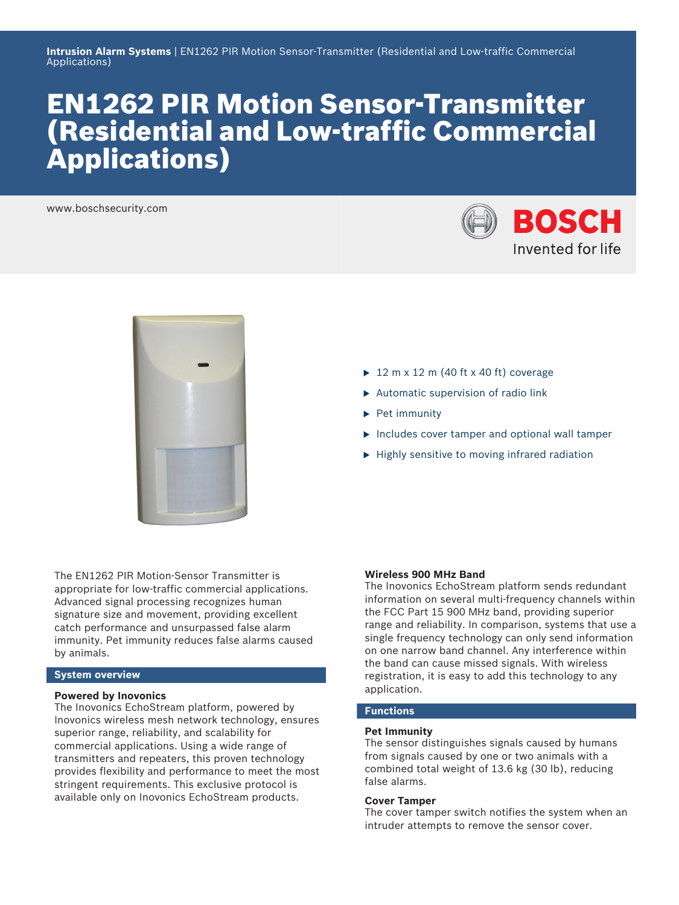# EN1262 PIR Motion Sensor-Transmitter (Residential and Low-traffic Commercial Applications)

www.boschsecurity.com





The EN1262 PIR Motion‑Sensor Transmitter is appropriate for low-traffic commercial applications. Advanced signal processing recognizes human signature size and movement, providing excellent catch performance and unsurpassed false alarm immunity. Pet immunity reduces false alarms caused by animals.

# **System overview**

### **Powered by Inovonics**

The Inovonics EchoStream platform, powered by Inovonics wireless mesh network technology, ensures superior range, reliability, and scalability for commercial applications. Using a wide range of transmitters and repeaters, this proven technology provides flexibility and performance to meet the most stringent requirements. This exclusive protocol is available only on Inovonics EchoStream products.

- $\blacktriangleright$  12 m x 12 m (40 ft x 40 ft) coverage
- $\blacktriangleright$  Automatic supervision of radio link
- $\blacktriangleright$  Pet immunity
- $\blacktriangleright$  Includes cover tamper and optional wall tamper
- $\blacktriangleright$  Highly sensitive to moving infrared radiation

### **Wireless 900 MHz Band**

The Inovonics EchoStream platform sends redundant information on several multi-frequency channels within the FCC Part 15 900 MHz band, providing superior range and reliability. In comparison, systems that use a single frequency technology can only send information on one narrow band channel. Any interference within the band can cause missed signals. With wireless registration, it is easy to add this technology to any application.

# **Functions**

# **Pet Immunity**

The sensor distinguishes signals caused by humans from signals caused by one or two animals with a combined total weight of 13.6 kg (30 lb), reducing false alarms.

### **Cover Tamper**

The cover tamper switch notifies the system when an intruder attempts to remove the sensor cover.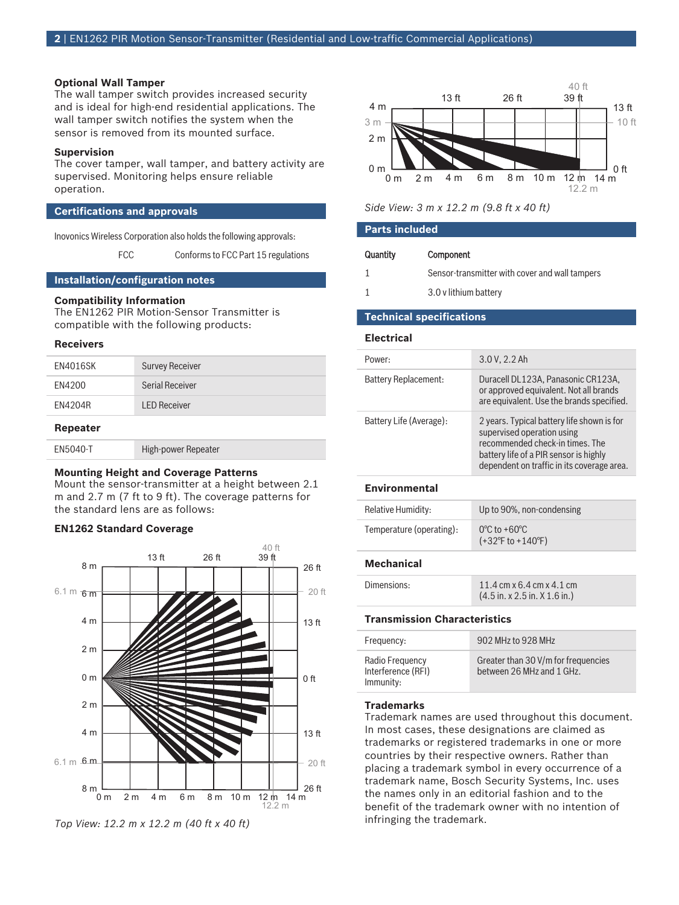### **Optional Wall Tamper**

The wall tamper switch provides increased security and is ideal for high-end residential applications. The wall tamper switch notifies the system when the sensor is removed from its mounted surface.

#### **Supervision**

The cover tamper, wall tamper, and battery activity are supervised. Monitoring helps ensure reliable operation.

### **Certifications and approvals**

Inovonics Wireless Corporation also holds the following approvals:

FCC Conforms to FCC Part 15 regulations

#### **Installation/configuration notes**

# **Compatibility Information**

The EN1262 PIR Motion‑Sensor Transmitter is compatible with the following products:

#### **Receivers**

| <b>Repeater</b> |                        |
|-----------------|------------------------|
| <b>FN4204R</b>  | <b>I FD Receiver</b>   |
| EN4200          | Serial Receiver        |
| <b>EN4016SK</b> | <b>Survey Receiver</b> |

| EN5040-T | High-power Repeater |
|----------|---------------------|
|          |                     |

#### **Mounting Height and Coverage Patterns**

Mount the sensor-transmitter at a height between 2.1 m and 2.7 m (7 ft to 9 ft). The coverage patterns for the standard lens are as follows:

# **EN1262 Standard Coverage**



*Top View: 12.2 m x 12.2 m (40 ft x 40 ft)*



# *Side View: 3 m x 12.2 m (9.8 ft x 40 ft)*

# **Parts included**

| Quantity | Component                                      |
|----------|------------------------------------------------|
|          | Sensor-transmitter with cover and wall tampers |
|          | 3.0 v lithium battery                          |

#### **Technical specifications**

#### **Electrical**

| Power:                  | 3.0 V, 2.2 Ah                                                                                                                                                                                       |
|-------------------------|-----------------------------------------------------------------------------------------------------------------------------------------------------------------------------------------------------|
| Battery Replacement:    | Duracell DL123A, Panasonic CR123A,<br>or approved equivalent. Not all brands<br>are equivalent. Use the brands specified.                                                                           |
| Battery Life (Average): | 2 years. Typical battery life shown is for<br>supervised operation using<br>recommended check-in times. The<br>battery life of a PIR sensor is highly<br>dependent on traffic in its coverage area. |

# **Environmental**

| Relative Humidity:       | Up to 90%, non-condensing                                                  |
|--------------------------|----------------------------------------------------------------------------|
| Temperature (operating): | $0^{\circ}$ C to +60 $^{\circ}$ C<br>$(+32^{\circ}$ F to $+140^{\circ}$ F) |

# **Mechanical**

| Dimensions: | 11.4 cm x 6.4 cm x 4.1 cm                                 |
|-------------|-----------------------------------------------------------|
|             | $(4.5 \text{ in. x } 2.5 \text{ in. X } 1.6 \text{ in.})$ |

# **Transmission Characteristics**

| Frequency:                                         | 902 MHz to 928 MHz                                               |
|----------------------------------------------------|------------------------------------------------------------------|
| Radio Frequency<br>Interference (RFI)<br>Immunity: | Greater than 30 V/m for frequencies<br>between 26 MHz and 1 GHz. |

#### **Trademarks**

Trademark names are used throughout this document. In most cases, these designations are claimed as trademarks or registered trademarks in one or more countries by their respective owners. Rather than placing a trademark symbol in every occurrence of a trademark name, Bosch Security Systems, Inc. uses the names only in an editorial fashion and to the benefit of the trademark owner with no intention of infringing the trademark.